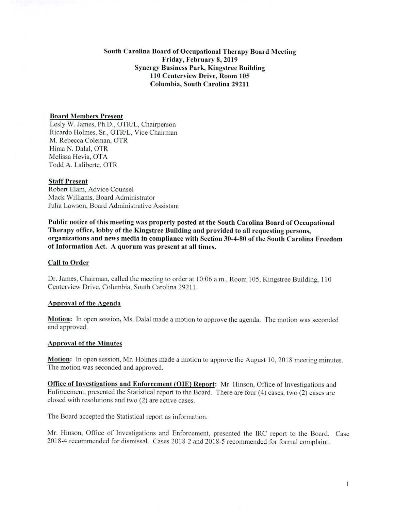# South Carolina Board of Occupational Therapy Board Meeting Friday, February 8,2019 Synergy Business Park, Kingstree Building 110 Centerview Drive, Room 105 Columbia, South Carolina 29211

# Board Members Present

Lesly W. James, Ph.D., OTR/L, Chairperson Ricardo Holmes, Sr., OTR/L, Vice Chairman M. Rebecca Coleman, OTR Hima N. Dalai, OTR Melissa Hevia, OTA Todd A. Laliberte, OTR

#### Staff Present

Robert Elam, Advice Counsel Mack Williams, Board Administrator Julia Lawson, Board Administrative Assistant

Public notice of this meeting was properly posted at the South Carolina Board of Occupational Therapy office, lobby of the Kingstree Building and provided to all requesting persons, organizations and news media in compliance with Section 30-4-80 of the South Carolina Freedom of Information Act. A quorum was present at all times.

### Call to Order

Dr. James, Chairman, called the meeting to order at 10:06 a.m., Room 105, Kingstree Building, 110 Centerview Drive, Columbia, South Carolina 29211.

### Approval of the Agenda

**Motion:** In open session, Ms. Dalal made a motion to approve the agenda. The motion was seconded and approved.

### Approval of the Minutes

**Motion:** In open session, Mr. Holmes made a motion to approve the August 10, 2018 meeting minutes. The motion was seconded and approved.

Office of Investigations and Enforcement (OIE) Report: Mr. Hinson, Office of Investigations and Enforcement, presented the Statistical report to the Board. There are four (4) cases, two (2) cases are closed with resolutions and two (2) are active cases.

The Board accepted the Statistical report as information.

Mr. Hinson, Office of Investigations and Enforcement, presented the IRC report to the Board. Case 2018-4 recommended for dismissal. Cases 2018-2 and 2018-5 recommended for formal complaint.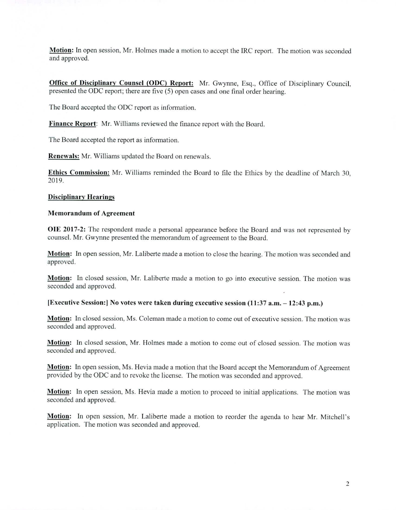**Motion:** In open session, Mr. Holmes made a motion to accept the IRC report. The motion was seconded and approved.

Office **of Disciplinary Counsel (ODC) Report:** Mr. Gwynne, Esq., Office of Disciplinary Council, presented the ODC report; there are five (5) open cases and one final order hearing.

The Board accepted the ODC report as information.

**Finance Report:** Mr. Williams reviewed the fmance report with the Board.

The Board accepted the report as information.

**Renewals:** Mr. Williams updated the Board on renewals.

**Ethics Commission:** Mr. Williams reminded the Board to file the Ethics by the deadline of March 30, 2019.

### **Disciplinary Hearings**

### **Memorandum of Agreement**

**01E 2017-2:** The respondent made a personal appearance before the Board and was not represented by counsel. Mr. Gwynne presented the memorandum of agreement to the Board.

**Motion:** In open session, Mr. Laliberte made a motion to close the hearing. The motion was seconded and approved.

**Motion:** In closed session, Mr. Laliberte made a motion to go into executive session. The motion was seconded and approved.

#### **[Executive Session:] No votes were taken during executive session (11:37 a.m. — 12:43 p.m.)**

**Motion:** In closed session, Ms. Coleman made a motion to come out of executive session. The motion was seconded and approved.

**Motion:** In closed session, Mr. Holmes made a motion to come out of closed session. The motion was seconded and approved.

**Motion:** In open session, Ms. Hevia made a motion that the Board accept the Memorandum of Agreement provided by the ODC and to revoke the license. The motion was seconded and approved.

**Motion:** In open session, Ms. Hevia made a motion to proceed to initial applications. The motion was seconded and approved.

**Motion:** In open session, Mr. Laliberte made a motion to reorder the agenda to hear Mr. Mitchell's application. The motion was seconded and approved.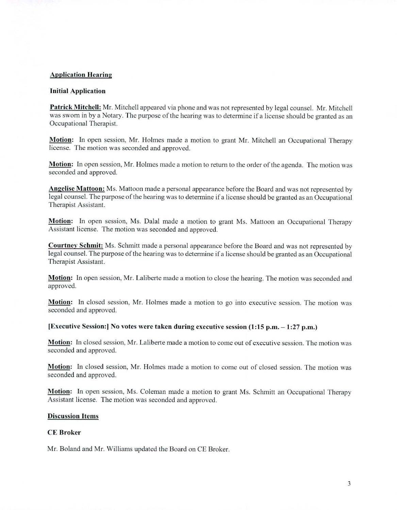# **Application Hearing**

#### **Initial Application**

**Patrick Mitchell:** Mr. Mitchell appeared via phone and was not represented by legal counsel. Mr. Mitchell was sworn in by a Notary. The purpose of the hearing was to determine if a license should be granted as an Occupational Therapist.

**Motion:** In open session, Mr. Holmes made a motion to grant Mr. Mitchell an Occupational Therapy license. The motion was seconded and approved.

**Motion:** In open session, Mr. Holmes made a motion to return to the order of the agenda. The motion was seconded and approved.

**Angelise Mattoon:** Ms. Mattoon made a personal appearance before the Board and was not represented by legal counsel. The purpose of the hearing was to determine if a license should be granted as an Occupational Therapist Assistant.

**Motion:** In open session, Ms. Dalal made a motion to grant Ms. Mattoon an Occupational Therapy Assistant license. The motion was seconded and approved.

**Courtney Schmit:** Ms. Schmitt made a personal appearance before the Board and was not represented by legal counsel. The purpose of the hearing was to determine if a license should be granted as an Occupational Therapist Assistant.

**Motion:** In open session, Mr. Laliberte made a motion to close the hearing. The motion was seconded and approved.

**Motion:** In closed session, Mr. Holmes made a motion to go into executive session. The motion was seconded and approved.

#### **[Executive Session:] No votes were taken during executive session (1:15 p.m. — 1:27 p.m.)**

**Motion:** In closed session, Mr. Laliberte made a motion to come out of executive session. The motion was seconded and approved.

**Motion:** In closed session, Mr. Holmes made a motion to come out of closed session. The motion was seconded and approved.

**Motion:** In open session, Ms. Coleman made a motion to grant Ms. Schmitt an Occupational Therapy Assistant license. The motion was seconded and approved.

### **Discussion Items**

### **CE Broker**

Mr. Boland and Mr. Williams updated the Board on CE Broker.